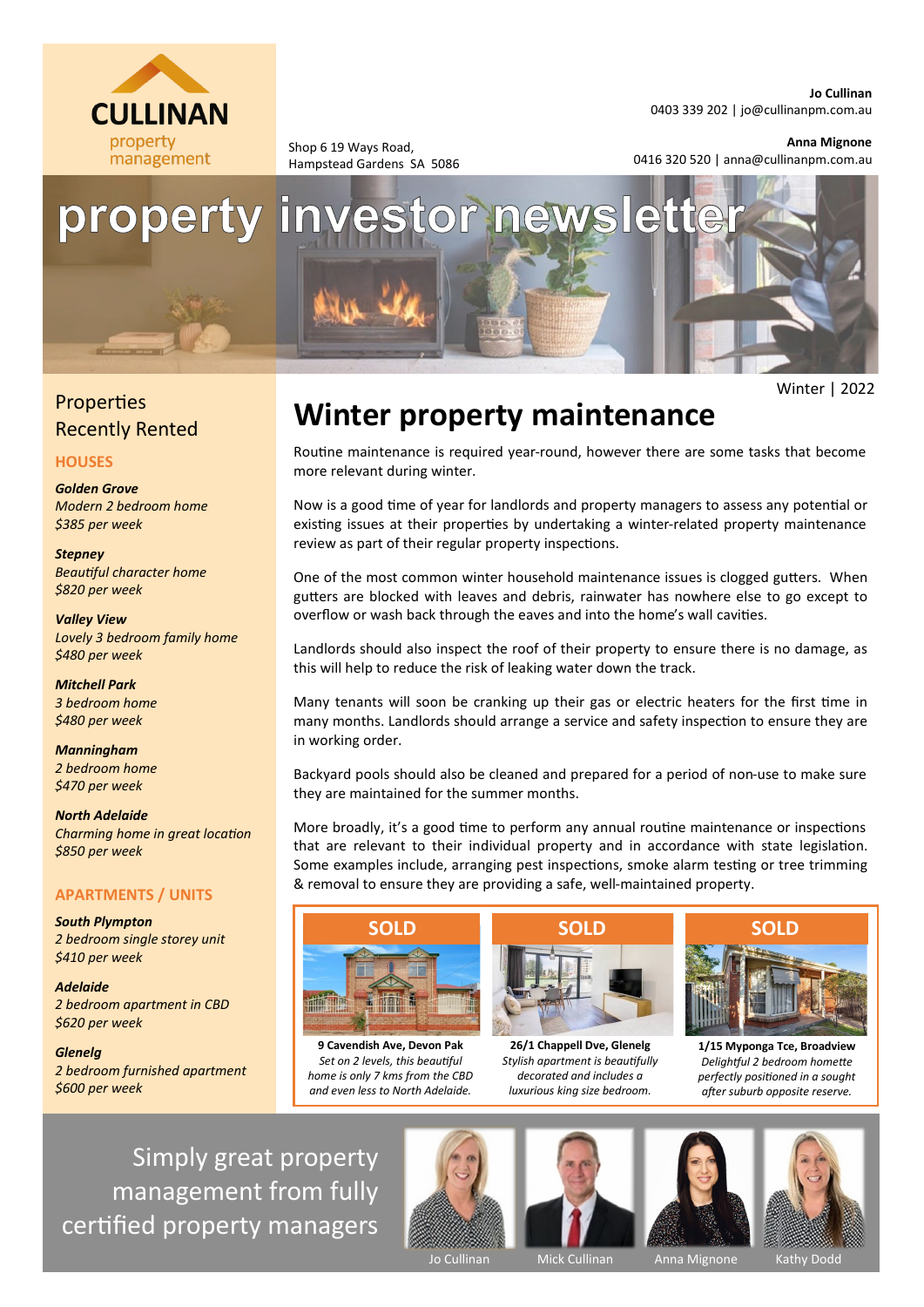

Shop 6 19 Ways Road, Hampstead Gardens SA 5086 0403 339 202 | [jo@cullinanpm.com.au](mailto:jo@cullinanpm.com.au)

## **Anna Mignone**

Winter | 2022

0416 320 520 | anna@cullinanpm.com.au



## **Properties** Recently Rented

## **HOUSES**

*Golden Grove Modern 2 bedroom home \$385 per week*

*Stepney Beautiful character home \$820 per week*

*Valley View Lovely 3 bedroom family home \$480 per week*

*Mitchell Park 3 bedroom home \$480 per week*

*Manningham 2 bedroom home \$470 per week*

*North Adelaide Charming home in great location \$850 per week*

## **APARTMENTS / UNITS**

*South Plympton 2 bedroom single storey unit \$410 per week*

*Adelaide 2 bedroom apartment in CBD \$620 per week*

*Glenelg 2 bedroom furnished apartment \$600 per week*

# **Winter property maintenance**

Routine maintenance is required year-round, however there are some tasks that become more relevant during winter.

Now is a good time of year for landlords and property managers to assess any potential or existing issues at their properties by undertaking a winter-related property maintenance review as part of their regular property inspections.

One of the most common winter household maintenance issues is clogged gutters. When gutters are blocked with leaves and debris, rainwater has nowhere else to go except to overflow or wash back through the eaves and into the home's wall cavities.

Landlords should also inspect the roof of their property to ensure there is no damage, as this will help to reduce the risk of leaking water down the track.

Many tenants will soon be cranking up their gas or electric heaters for the first time in many months. Landlords should arrange a service and safety inspection to ensure they are in working order.

Backyard pools should also be cleaned and prepared for a period of non-use to make sure they are maintained for the summer months.

More broadly, it's a good time to perform any annual routine maintenance or inspections that are relevant to their individual property and in accordance with state legislation. Some examples include, arranging pest inspections, smoke alarm testing or tree trimming & removal to ensure they are providing a safe, well-maintained property.



**9 Cavendish Ave, Devon Pak** *Set on 2 levels, this beautiful home is only 7 kms from the CBD and even less to North Adelaide.*



**26/1 Chappell Dve, Glenelg** *Stylish apartment is beautifully decorated and includes a luxurious king size bedroom.*



**1/15 Myponga Tce, Broadview** *Delightful 2 bedroom homette perfectly positioned in a sought after suburb opposite reserve.*

Simply great property management from fully certified property managers









Jo Cullinan Mick Cullinan Anna Mignone Kathy Dodd